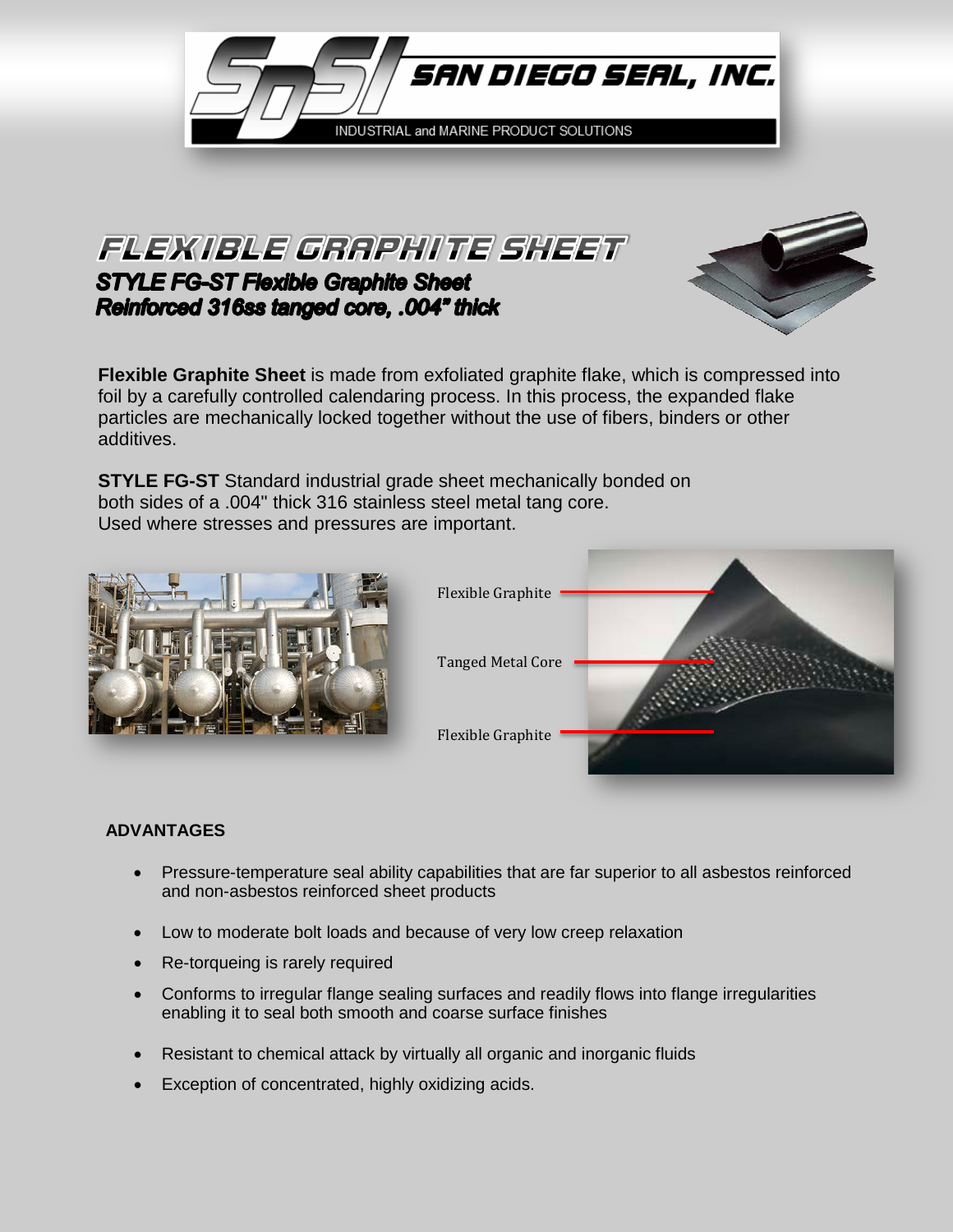





**STYLE FG-ST Flexible Graphite Sheet** Reinforced 316ss tanged core, .004" thick

**Flexible Graphite Sheet** is made from exfoliated graphite flake, which is compressed into foil by a carefully controlled calendaring process. In this process, the expanded flake particles are mechanically locked together without the use of fibers, binders or other additives.

**STYLE FG-ST** Standard industrial grade sheet mechanically bonded on both sides of a .004" thick 316 stainless steel metal tang core. Used where stresses and pressures are important.





## **ADVANTAGES**

- Pressure-temperature seal ability capabilities that are far superior to all asbestos reinforced and non-asbestos reinforced sheet products
- Low to moderate bolt loads and because of very low creep relaxation
- Re-torqueing is rarely required
- Conforms to irregular flange sealing surfaces and readily flows into flange irregularities enabling it to seal both smooth and coarse surface finishes
- Resistant to chemical attack by virtually all organic and inorganic fluids
- Exception of concentrated, highly oxidizing acids.